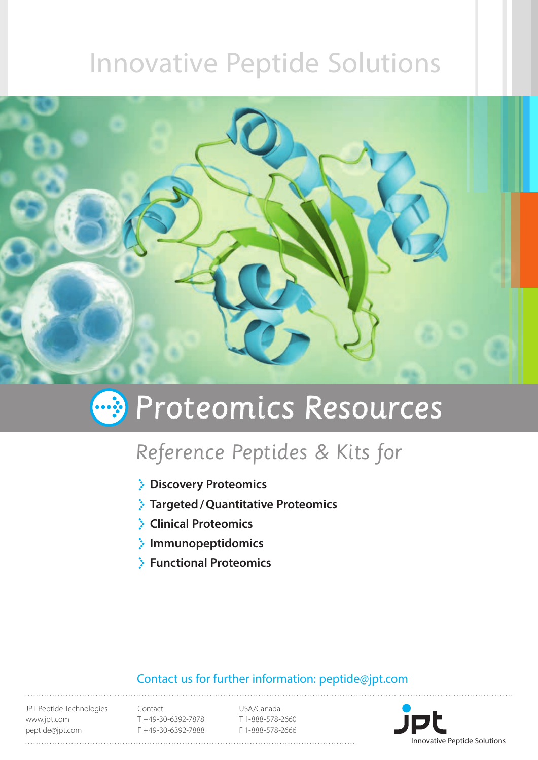# Innovative Peptide Solutions



# **B** Proteomics Resources

# Reference Peptides & Kits for

- **Discovery Proteomics**
- **Targeted/Quantitative Proteomics**
- **Clinical Proteomics**
- **Immunopeptidomics**
- **Functional Proteomics**

#### Contact us for further information: peptide@jpt.com

JPT Peptide Technologies www.jpt.com peptide@jpt.com

Contact T +49-30-6392-7878 F +49-30-6392-7888

USA/Canada T 1-888-578-2660 F 1-888-578-2666

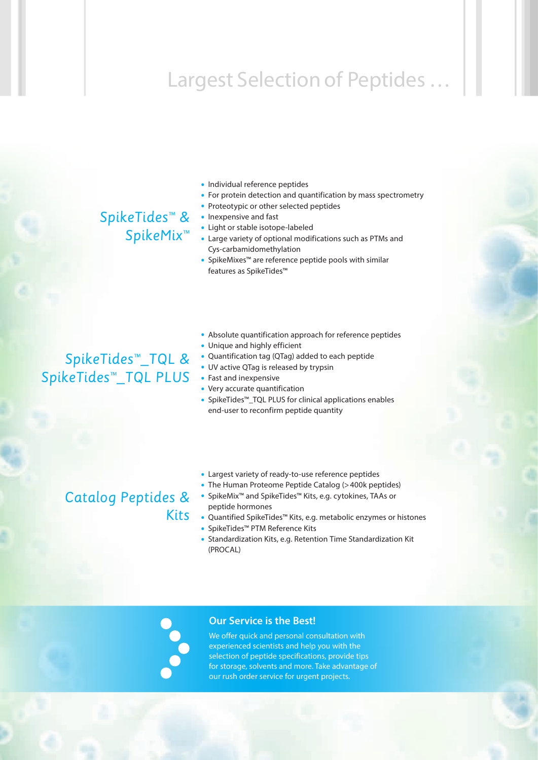# Largest Selection of Peptides …

### SpikeTides™ & SpikeMix™

- Individual reference peptides
- For protein detection and quantification by mass spectrometry
- Proteotypic or other selected peptides
- Inexpensive and fast
- Light or stable isotope-labeled
- Large variety of optional modifications such as PTMs and Cys-carbamidomethylation
- SpikeMixes™ are reference peptide pools with similar features as SpikeTides™

### SpikeTides™\_TQL & SpikeTides™\_TQL PLUS

- Absolute quantification approach for reference peptides • Unique and highly efficient
- Quantification tag (QTag) added to each peptide
- UV active QTag is released by trypsin
- Fast and inexpensive
- Very accurate quantification
- SpikeTides™\_TQL PLUS for clinical applications enables end-user to reconfirm peptide quantity

### Catalog Peptides &

- Largest variety of ready-to-use reference peptides
- The Human Proteome Peptide Catalog (>400k peptides)
- SpikeMix™ and SpikeTides™ Kits, e.g. cytokines, TAAs or peptide hormones
- Quantified SpikeTides™ Kits, e.g. metabolic enzymes or histones
- SpikeTides™ PTM Reference Kits
- Standardization Kits, e.g. Retention Time Standardization Kit (PROCAL)



Kits

#### **Our Service is the Best!**

We offer quick and personal consultation with experienced scientists and help you with the selection of peptide specifications, provide tips for storage, solvents and more. Take advantage of our rush order service for urgent projects.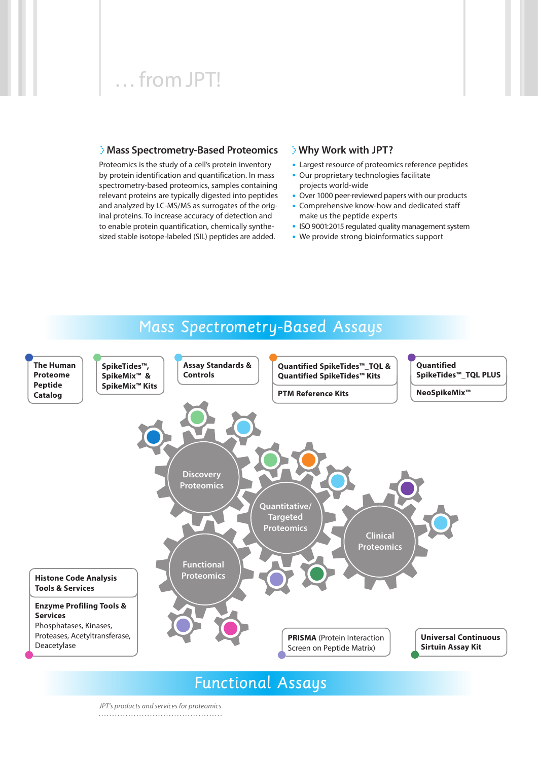## … from JPT!

#### **Mass Spectrometry-Based Proteomics**

Proteomics is the study of a cell's protein inventory by protein identification and quantification. In mass spectrometry-based proteomics, samples containing relevant proteins are typically digested into peptides and analyzed by LC-MS/MS as surrogates of the original proteins. To increase accuracy of detection and to enable protein quantification, chemically synthesized stable isotope-labeled (SIL) peptides are added.

#### **Why Work with JPT?**

- Largest resource of proteomics reference peptides
- Our proprietary technologies facilitate projects world-wide
- Over 1000 peer-reviewed papers with our products
- Comprehensive know-how and dedicated staff make us the peptide experts
- ISO 9001:2015 regulated quality management system
- We provide strong bioinformatics support

### Mass Spectrometry-Based Assays



*JPT's products and services for proteomics*